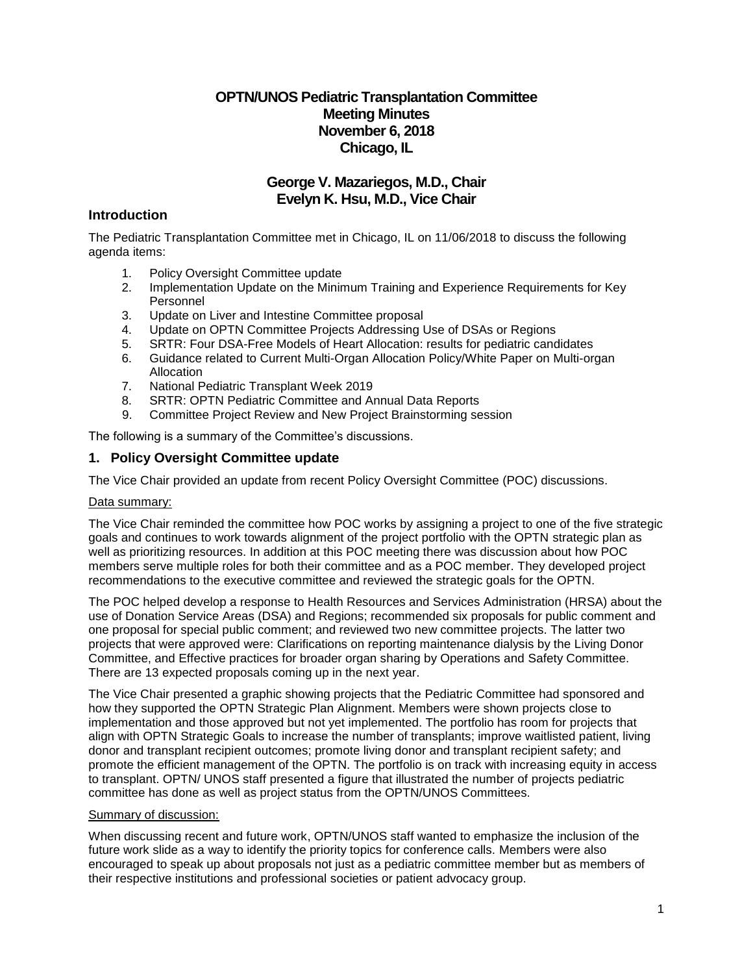# **OPTN/UNOS Pediatric Transplantation Committee Meeting Minutes November 6, 2018 Chicago, IL**

# **George V. Mazariegos, M.D., Chair Evelyn K. Hsu, M.D., Vice Chair**

# **Introduction**

The Pediatric Transplantation Committee met in Chicago, IL on 11/06/2018 to discuss the following agenda items:

- 1. Policy Oversight Committee update
- 2. Implementation Update on the Minimum Training and Experience Requirements for Key Personnel
- 3. Update on Liver and Intestine Committee proposal
- 4. Update on OPTN Committee Projects Addressing Use of DSAs or Regions
- 5. SRTR: Four DSA-Free Models of Heart Allocation: results for pediatric candidates
- 6. Guidance related to Current Multi-Organ Allocation Policy/White Paper on Multi-organ Allocation
- 7. National Pediatric Transplant Week 2019
- 8. SRTR: OPTN Pediatric Committee and Annual Data Reports
- 9. Committee Project Review and New Project Brainstorming session

The following is a summary of the Committee's discussions.

# **1. Policy Oversight Committee update**

The Vice Chair provided an update from recent Policy Oversight Committee (POC) discussions.

## Data summary:

The Vice Chair reminded the committee how POC works by assigning a project to one of the five strategic goals and continues to work towards alignment of the project portfolio with the OPTN strategic plan as well as prioritizing resources. In addition at this POC meeting there was discussion about how POC members serve multiple roles for both their committee and as a POC member. They developed project recommendations to the executive committee and reviewed the strategic goals for the OPTN.

The POC helped develop a response to Health Resources and Services Administration (HRSA) about the use of Donation Service Areas (DSA) and Regions; recommended six proposals for public comment and one proposal for special public comment; and reviewed two new committee projects. The latter two projects that were approved were: Clarifications on reporting maintenance dialysis by the Living Donor Committee, and Effective practices for broader organ sharing by Operations and Safety Committee. There are 13 expected proposals coming up in the next year.

The Vice Chair presented a graphic showing projects that the Pediatric Committee had sponsored and how they supported the OPTN Strategic Plan Alignment. Members were shown projects close to implementation and those approved but not yet implemented. The portfolio has room for projects that align with OPTN Strategic Goals to increase the number of transplants; improve waitlisted patient, living donor and transplant recipient outcomes; promote living donor and transplant recipient safety; and promote the efficient management of the OPTN. The portfolio is on track with increasing equity in access to transplant. OPTN/ UNOS staff presented a figure that illustrated the number of projects pediatric committee has done as well as project status from the OPTN/UNOS Committees.

## Summary of discussion:

When discussing recent and future work, OPTN/UNOS staff wanted to emphasize the inclusion of the future work slide as a way to identify the priority topics for conference calls. Members were also encouraged to speak up about proposals not just as a pediatric committee member but as members of their respective institutions and professional societies or patient advocacy group.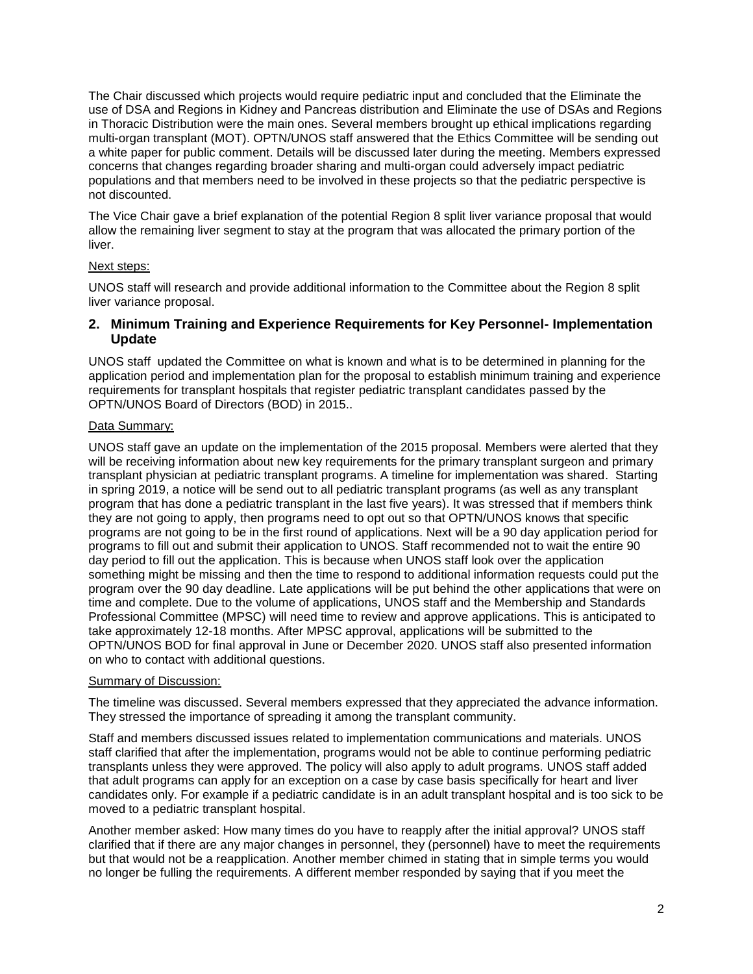The Chair discussed which projects would require pediatric input and concluded that the Eliminate the use of DSA and Regions in Kidney and Pancreas distribution and Eliminate the use of DSAs and Regions in Thoracic Distribution were the main ones. Several members brought up ethical implications regarding multi-organ transplant (MOT). OPTN/UNOS staff answered that the Ethics Committee will be sending out a white paper for public comment. Details will be discussed later during the meeting. Members expressed concerns that changes regarding broader sharing and multi-organ could adversely impact pediatric populations and that members need to be involved in these projects so that the pediatric perspective is not discounted.

The Vice Chair gave a brief explanation of the potential Region 8 split liver variance proposal that would allow the remaining liver segment to stay at the program that was allocated the primary portion of the liver.

### Next steps:

UNOS staff will research and provide additional information to the Committee about the Region 8 split liver variance proposal.

## **2. Minimum Training and Experience Requirements for Key Personnel- Implementation Update**

UNOS staff updated the Committee on what is known and what is to be determined in planning for the application period and implementation plan for the proposal to establish minimum training and experience requirements for transplant hospitals that register pediatric transplant candidates passed by the OPTN/UNOS Board of Directors (BOD) in 2015..

### Data Summary:

UNOS staff gave an update on the implementation of the 2015 proposal. Members were alerted that they will be receiving information about new key requirements for the primary transplant surgeon and primary transplant physician at pediatric transplant programs. A timeline for implementation was shared. Starting in spring 2019, a notice will be send out to all pediatric transplant programs (as well as any transplant program that has done a pediatric transplant in the last five years). It was stressed that if members think they are not going to apply, then programs need to opt out so that OPTN/UNOS knows that specific programs are not going to be in the first round of applications. Next will be a 90 day application period for programs to fill out and submit their application to UNOS. Staff recommended not to wait the entire 90 day period to fill out the application. This is because when UNOS staff look over the application something might be missing and then the time to respond to additional information requests could put the program over the 90 day deadline. Late applications will be put behind the other applications that were on time and complete. Due to the volume of applications, UNOS staff and the Membership and Standards Professional Committee (MPSC) will need time to review and approve applications. This is anticipated to take approximately 12-18 months. After MPSC approval, applications will be submitted to the OPTN/UNOS BOD for final approval in June or December 2020. UNOS staff also presented information on who to contact with additional questions.

#### Summary of Discussion:

The timeline was discussed. Several members expressed that they appreciated the advance information. They stressed the importance of spreading it among the transplant community.

Staff and members discussed issues related to implementation communications and materials. UNOS staff clarified that after the implementation, programs would not be able to continue performing pediatric transplants unless they were approved. The policy will also apply to adult programs. UNOS staff added that adult programs can apply for an exception on a case by case basis specifically for heart and liver candidates only. For example if a pediatric candidate is in an adult transplant hospital and is too sick to be moved to a pediatric transplant hospital.

Another member asked: How many times do you have to reapply after the initial approval? UNOS staff clarified that if there are any major changes in personnel, they (personnel) have to meet the requirements but that would not be a reapplication. Another member chimed in stating that in simple terms you would no longer be fulling the requirements. A different member responded by saying that if you meet the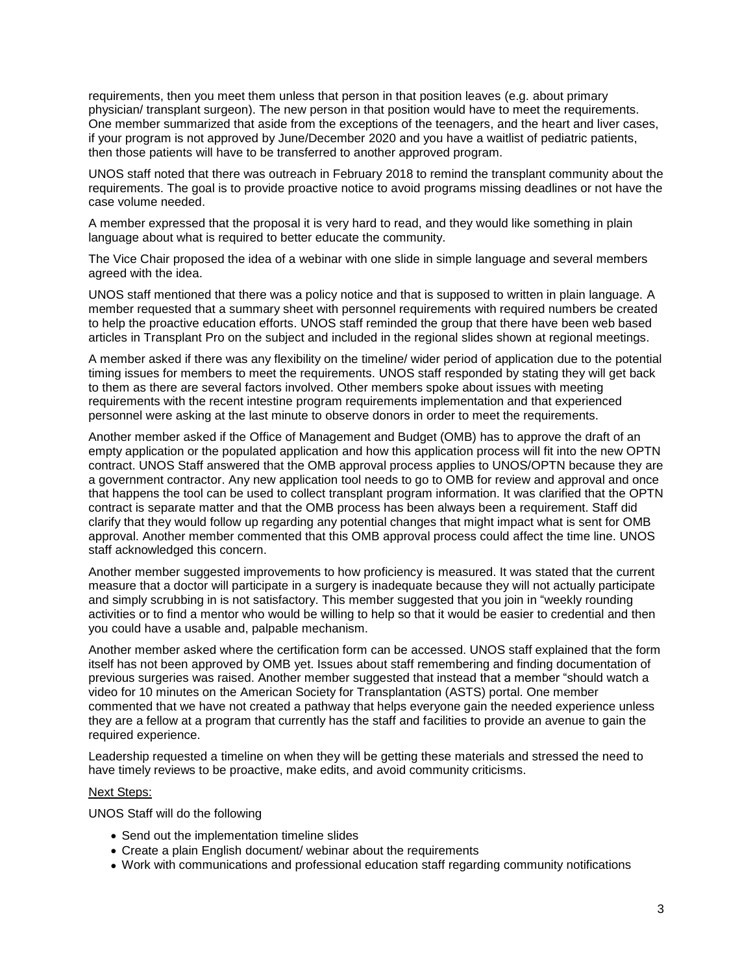requirements, then you meet them unless that person in that position leaves (e.g. about primary physician/ transplant surgeon). The new person in that position would have to meet the requirements. One member summarized that aside from the exceptions of the teenagers, and the heart and liver cases, if your program is not approved by June/December 2020 and you have a waitlist of pediatric patients, then those patients will have to be transferred to another approved program.

UNOS staff noted that there was outreach in February 2018 to remind the transplant community about the requirements. The goal is to provide proactive notice to avoid programs missing deadlines or not have the case volume needed.

A member expressed that the proposal it is very hard to read, and they would like something in plain language about what is required to better educate the community.

The Vice Chair proposed the idea of a webinar with one slide in simple language and several members agreed with the idea.

UNOS staff mentioned that there was a policy notice and that is supposed to written in plain language. A member requested that a summary sheet with personnel requirements with required numbers be created to help the proactive education efforts. UNOS staff reminded the group that there have been web based articles in Transplant Pro on the subject and included in the regional slides shown at regional meetings.

A member asked if there was any flexibility on the timeline/ wider period of application due to the potential timing issues for members to meet the requirements. UNOS staff responded by stating they will get back to them as there are several factors involved. Other members spoke about issues with meeting requirements with the recent intestine program requirements implementation and that experienced personnel were asking at the last minute to observe donors in order to meet the requirements.

Another member asked if the Office of Management and Budget (OMB) has to approve the draft of an empty application or the populated application and how this application process will fit into the new OPTN contract. UNOS Staff answered that the OMB approval process applies to UNOS/OPTN because they are a government contractor. Any new application tool needs to go to OMB for review and approval and once that happens the tool can be used to collect transplant program information. It was clarified that the OPTN contract is separate matter and that the OMB process has been always been a requirement. Staff did clarify that they would follow up regarding any potential changes that might impact what is sent for OMB approval. Another member commented that this OMB approval process could affect the time line. UNOS staff acknowledged this concern.

Another member suggested improvements to how proficiency is measured. It was stated that the current measure that a doctor will participate in a surgery is inadequate because they will not actually participate and simply scrubbing in is not satisfactory. This member suggested that you join in "weekly rounding activities or to find a mentor who would be willing to help so that it would be easier to credential and then you could have a usable and, palpable mechanism.

Another member asked where the certification form can be accessed. UNOS staff explained that the form itself has not been approved by OMB yet. Issues about staff remembering and finding documentation of previous surgeries was raised. Another member suggested that instead that a member "should watch a video for 10 minutes on the American Society for Transplantation (ASTS) portal. One member commented that we have not created a pathway that helps everyone gain the needed experience unless they are a fellow at a program that currently has the staff and facilities to provide an avenue to gain the required experience.

Leadership requested a timeline on when they will be getting these materials and stressed the need to have timely reviews to be proactive, make edits, and avoid community criticisms.

#### Next Steps:

UNOS Staff will do the following

- Send out the implementation timeline slides
- Create a plain English document/ webinar about the requirements
- Work with communications and professional education staff regarding community notifications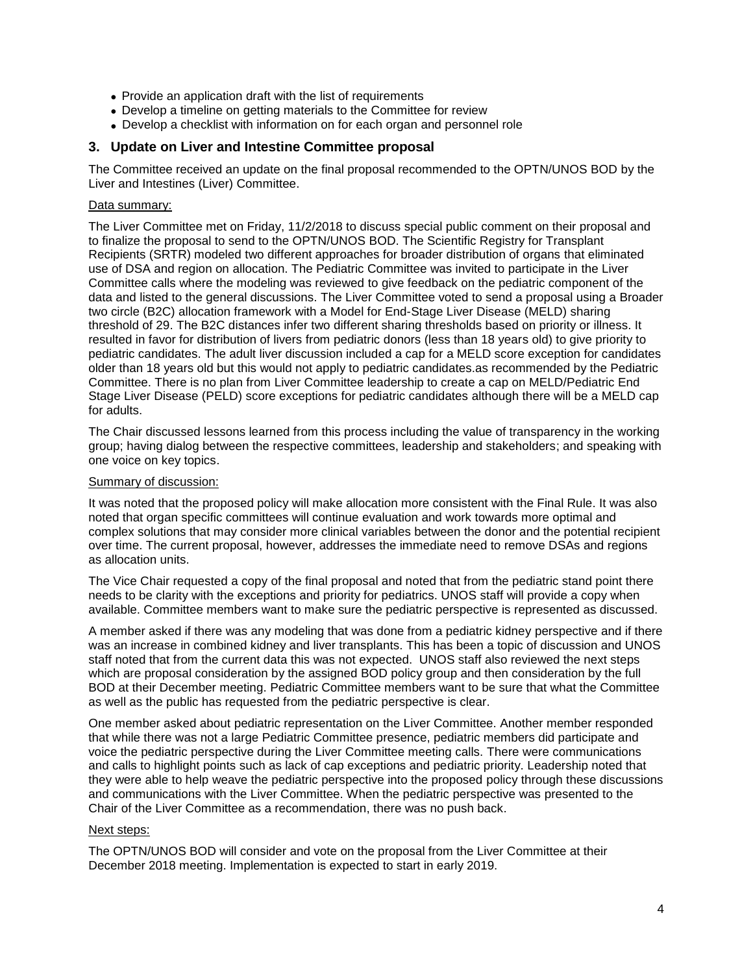- Provide an application draft with the list of requirements
- Develop a timeline on getting materials to the Committee for review
- Develop a checklist with information on for each organ and personnel role

## **3. Update on Liver and Intestine Committee proposal**

The Committee received an update on the final proposal recommended to the OPTN/UNOS BOD by the Liver and Intestines (Liver) Committee.

### Data summary:

The Liver Committee met on Friday, 11/2/2018 to discuss special public comment on their proposal and to finalize the proposal to send to the OPTN/UNOS BOD. The Scientific Registry for Transplant Recipients (SRTR) modeled two different approaches for broader distribution of organs that eliminated use of DSA and region on allocation. The Pediatric Committee was invited to participate in the Liver Committee calls where the modeling was reviewed to give feedback on the pediatric component of the data and listed to the general discussions. The Liver Committee voted to send a proposal using a Broader two circle (B2C) allocation framework with a Model for End-Stage Liver Disease (MELD) sharing threshold of 29. The B2C distances infer two different sharing thresholds based on priority or illness. It resulted in favor for distribution of livers from pediatric donors (less than 18 years old) to give priority to pediatric candidates. The adult liver discussion included a cap for a MELD score exception for candidates older than 18 years old but this would not apply to pediatric candidates.as recommended by the Pediatric Committee. There is no plan from Liver Committee leadership to create a cap on MELD/Pediatric End Stage Liver Disease (PELD) score exceptions for pediatric candidates although there will be a MELD cap for adults.

The Chair discussed lessons learned from this process including the value of transparency in the working group; having dialog between the respective committees, leadership and stakeholders; and speaking with one voice on key topics.

### Summary of discussion:

It was noted that the proposed policy will make allocation more consistent with the Final Rule. It was also noted that organ specific committees will continue evaluation and work towards more optimal and complex solutions that may consider more clinical variables between the donor and the potential recipient over time. The current proposal, however, addresses the immediate need to remove DSAs and regions as allocation units.

The Vice Chair requested a copy of the final proposal and noted that from the pediatric stand point there needs to be clarity with the exceptions and priority for pediatrics. UNOS staff will provide a copy when available. Committee members want to make sure the pediatric perspective is represented as discussed.

A member asked if there was any modeling that was done from a pediatric kidney perspective and if there was an increase in combined kidney and liver transplants. This has been a topic of discussion and UNOS staff noted that from the current data this was not expected. UNOS staff also reviewed the next steps which are proposal consideration by the assigned BOD policy group and then consideration by the full BOD at their December meeting. Pediatric Committee members want to be sure that what the Committee as well as the public has requested from the pediatric perspective is clear.

One member asked about pediatric representation on the Liver Committee. Another member responded that while there was not a large Pediatric Committee presence, pediatric members did participate and voice the pediatric perspective during the Liver Committee meeting calls. There were communications and calls to highlight points such as lack of cap exceptions and pediatric priority. Leadership noted that they were able to help weave the pediatric perspective into the proposed policy through these discussions and communications with the Liver Committee. When the pediatric perspective was presented to the Chair of the Liver Committee as a recommendation, there was no push back.

#### Next steps:

The OPTN/UNOS BOD will consider and vote on the proposal from the Liver Committee at their December 2018 meeting. Implementation is expected to start in early 2019.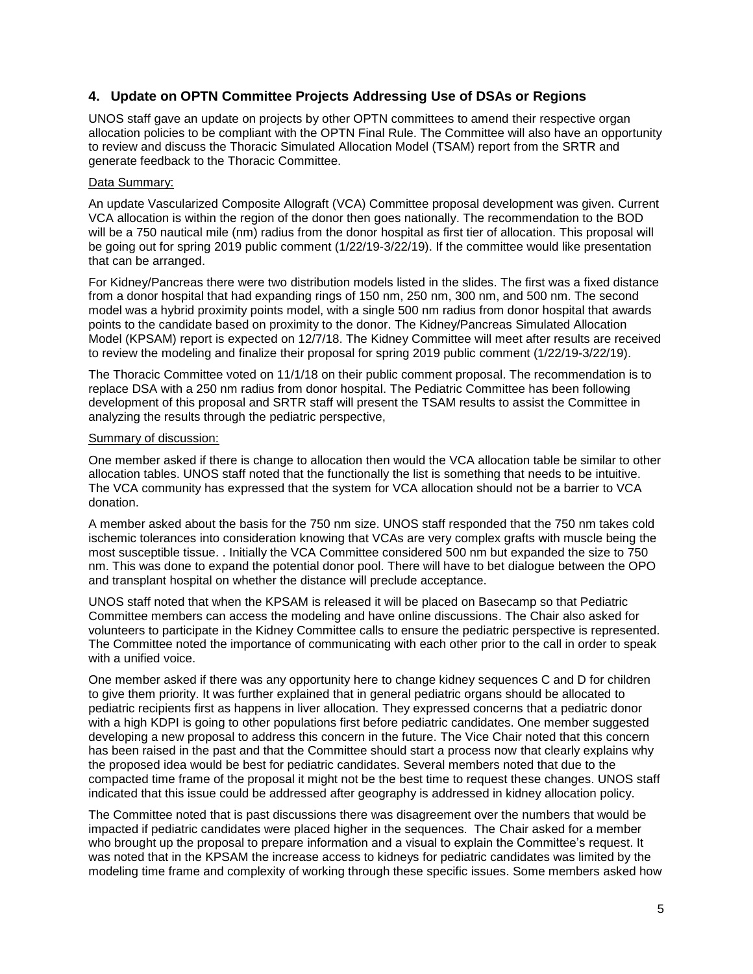# **4. Update on OPTN Committee Projects Addressing Use of DSAs or Regions**

UNOS staff gave an update on projects by other OPTN committees to amend their respective organ allocation policies to be compliant with the OPTN Final Rule. The Committee will also have an opportunity to review and discuss the Thoracic Simulated Allocation Model (TSAM) report from the SRTR and generate feedback to the Thoracic Committee.

### Data Summary:

An update Vascularized Composite Allograft (VCA) Committee proposal development was given. Current VCA allocation is within the region of the donor then goes nationally. The recommendation to the BOD will be a 750 nautical mile (nm) radius from the donor hospital as first tier of allocation. This proposal will be going out for spring 2019 public comment (1/22/19-3/22/19). If the committee would like presentation that can be arranged.

For Kidney/Pancreas there were two distribution models listed in the slides. The first was a fixed distance from a donor hospital that had expanding rings of 150 nm, 250 nm, 300 nm, and 500 nm. The second model was a hybrid proximity points model, with a single 500 nm radius from donor hospital that awards points to the candidate based on proximity to the donor. The Kidney/Pancreas Simulated Allocation Model (KPSAM) report is expected on 12/7/18. The Kidney Committee will meet after results are received to review the modeling and finalize their proposal for spring 2019 public comment (1/22/19-3/22/19).

The Thoracic Committee voted on 11/1/18 on their public comment proposal. The recommendation is to replace DSA with a 250 nm radius from donor hospital. The Pediatric Committee has been following development of this proposal and SRTR staff will present the TSAM results to assist the Committee in analyzing the results through the pediatric perspective,

#### Summary of discussion:

One member asked if there is change to allocation then would the VCA allocation table be similar to other allocation tables. UNOS staff noted that the functionally the list is something that needs to be intuitive. The VCA community has expressed that the system for VCA allocation should not be a barrier to VCA donation.

A member asked about the basis for the 750 nm size. UNOS staff responded that the 750 nm takes cold ischemic tolerances into consideration knowing that VCAs are very complex grafts with muscle being the most susceptible tissue. . Initially the VCA Committee considered 500 nm but expanded the size to 750 nm. This was done to expand the potential donor pool. There will have to bet dialogue between the OPO and transplant hospital on whether the distance will preclude acceptance.

UNOS staff noted that when the KPSAM is released it will be placed on Basecamp so that Pediatric Committee members can access the modeling and have online discussions. The Chair also asked for volunteers to participate in the Kidney Committee calls to ensure the pediatric perspective is represented. The Committee noted the importance of communicating with each other prior to the call in order to speak with a unified voice.

One member asked if there was any opportunity here to change kidney sequences C and D for children to give them priority. It was further explained that in general pediatric organs should be allocated to pediatric recipients first as happens in liver allocation. They expressed concerns that a pediatric donor with a high KDPI is going to other populations first before pediatric candidates. One member suggested developing a new proposal to address this concern in the future. The Vice Chair noted that this concern has been raised in the past and that the Committee should start a process now that clearly explains why the proposed idea would be best for pediatric candidates. Several members noted that due to the compacted time frame of the proposal it might not be the best time to request these changes. UNOS staff indicated that this issue could be addressed after geography is addressed in kidney allocation policy.

The Committee noted that is past discussions there was disagreement over the numbers that would be impacted if pediatric candidates were placed higher in the sequences. The Chair asked for a member who brought up the proposal to prepare information and a visual to explain the Committee's request. It was noted that in the KPSAM the increase access to kidneys for pediatric candidates was limited by the modeling time frame and complexity of working through these specific issues. Some members asked how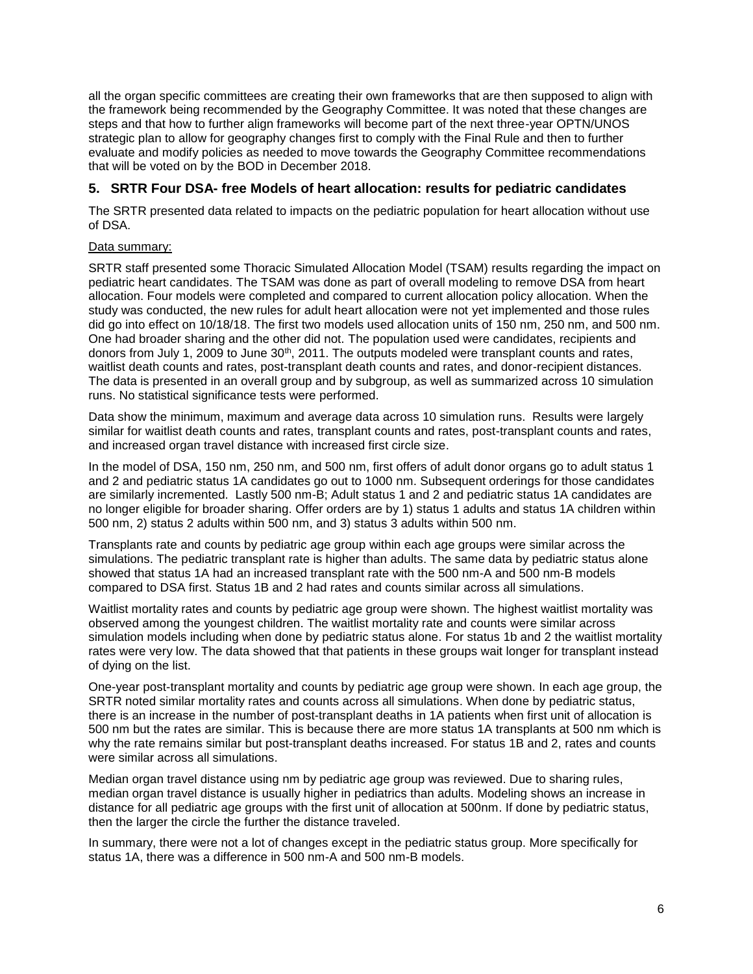all the organ specific committees are creating their own frameworks that are then supposed to align with the framework being recommended by the Geography Committee. It was noted that these changes are steps and that how to further align frameworks will become part of the next three-year OPTN/UNOS strategic plan to allow for geography changes first to comply with the Final Rule and then to further evaluate and modify policies as needed to move towards the Geography Committee recommendations that will be voted on by the BOD in December 2018.

# **5. SRTR Four DSA- free Models of heart allocation: results for pediatric candidates**

The SRTR presented data related to impacts on the pediatric population for heart allocation without use of DSA.

### Data summary:

SRTR staff presented some Thoracic Simulated Allocation Model (TSAM) results regarding the impact on pediatric heart candidates. The TSAM was done as part of overall modeling to remove DSA from heart allocation. Four models were completed and compared to current allocation policy allocation. When the study was conducted, the new rules for adult heart allocation were not yet implemented and those rules did go into effect on 10/18/18. The first two models used allocation units of 150 nm, 250 nm, and 500 nm. One had broader sharing and the other did not. The population used were candidates, recipients and donors from July 1, 2009 to June  $30<sup>th</sup>$ , 2011. The outputs modeled were transplant counts and rates, waitlist death counts and rates, post-transplant death counts and rates, and donor-recipient distances. The data is presented in an overall group and by subgroup, as well as summarized across 10 simulation runs. No statistical significance tests were performed.

Data show the minimum, maximum and average data across 10 simulation runs. Results were largely similar for waitlist death counts and rates, transplant counts and rates, post-transplant counts and rates, and increased organ travel distance with increased first circle size.

In the model of DSA, 150 nm, 250 nm, and 500 nm, first offers of adult donor organs go to adult status 1 and 2 and pediatric status 1A candidates go out to 1000 nm. Subsequent orderings for those candidates are similarly incremented. Lastly 500 nm-B; Adult status 1 and 2 and pediatric status 1A candidates are no longer eligible for broader sharing. Offer orders are by 1) status 1 adults and status 1A children within 500 nm, 2) status 2 adults within 500 nm, and 3) status 3 adults within 500 nm.

Transplants rate and counts by pediatric age group within each age groups were similar across the simulations. The pediatric transplant rate is higher than adults. The same data by pediatric status alone showed that status 1A had an increased transplant rate with the 500 nm-A and 500 nm-B models compared to DSA first. Status 1B and 2 had rates and counts similar across all simulations.

Waitlist mortality rates and counts by pediatric age group were shown. The highest waitlist mortality was observed among the youngest children. The waitlist mortality rate and counts were similar across simulation models including when done by pediatric status alone. For status 1b and 2 the waitlist mortality rates were very low. The data showed that that patients in these groups wait longer for transplant instead of dying on the list.

One-year post-transplant mortality and counts by pediatric age group were shown. In each age group, the SRTR noted similar mortality rates and counts across all simulations. When done by pediatric status, there is an increase in the number of post-transplant deaths in 1A patients when first unit of allocation is 500 nm but the rates are similar. This is because there are more status 1A transplants at 500 nm which is why the rate remains similar but post-transplant deaths increased. For status 1B and 2, rates and counts were similar across all simulations.

Median organ travel distance using nm by pediatric age group was reviewed. Due to sharing rules, median organ travel distance is usually higher in pediatrics than adults. Modeling shows an increase in distance for all pediatric age groups with the first unit of allocation at 500nm. If done by pediatric status, then the larger the circle the further the distance traveled.

In summary, there were not a lot of changes except in the pediatric status group. More specifically for status 1A, there was a difference in 500 nm-A and 500 nm-B models.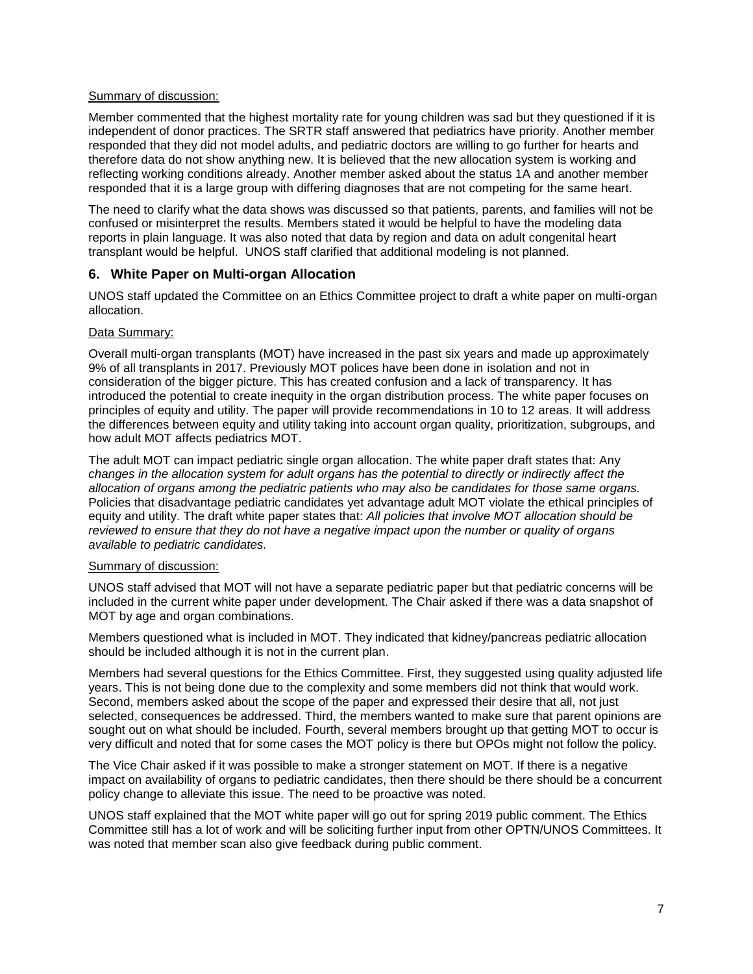#### Summary of discussion:

Member commented that the highest mortality rate for young children was sad but they questioned if it is independent of donor practices. The SRTR staff answered that pediatrics have priority. Another member responded that they did not model adults, and pediatric doctors are willing to go further for hearts and therefore data do not show anything new. It is believed that the new allocation system is working and reflecting working conditions already. Another member asked about the status 1A and another member responded that it is a large group with differing diagnoses that are not competing for the same heart.

The need to clarify what the data shows was discussed so that patients, parents, and families will not be confused or misinterpret the results. Members stated it would be helpful to have the modeling data reports in plain language. It was also noted that data by region and data on adult congenital heart transplant would be helpful. UNOS staff clarified that additional modeling is not planned.

### **6. White Paper on Multi-organ Allocation**

UNOS staff updated the Committee on an Ethics Committee project to draft a white paper on multi-organ allocation.

#### Data Summary:

Overall multi-organ transplants (MOT) have increased in the past six years and made up approximately 9% of all transplants in 2017. Previously MOT polices have been done in isolation and not in consideration of the bigger picture. This has created confusion and a lack of transparency. It has introduced the potential to create inequity in the organ distribution process. The white paper focuses on principles of equity and utility. The paper will provide recommendations in 10 to 12 areas. It will address the differences between equity and utility taking into account organ quality, prioritization, subgroups, and how adult MOT affects pediatrics MOT.

The adult MOT can impact pediatric single organ allocation. The white paper draft states that: Any *changes in the allocation system for adult organs has the potential to directly or indirectly affect the allocation of organs among the pediatric patients who may also be candidates for those same organs.*  Policies that disadvantage pediatric candidates yet advantage adult MOT violate the ethical principles of equity and utility. The draft white paper states that: *All policies that involve MOT allocation should be reviewed to ensure that they do not have a negative impact upon the number or quality of organs available to pediatric candidates.*

#### Summary of discussion:

UNOS staff advised that MOT will not have a separate pediatric paper but that pediatric concerns will be included in the current white paper under development. The Chair asked if there was a data snapshot of MOT by age and organ combinations.

Members questioned what is included in MOT. They indicated that kidney/pancreas pediatric allocation should be included although it is not in the current plan.

Members had several questions for the Ethics Committee. First, they suggested using quality adjusted life years. This is not being done due to the complexity and some members did not think that would work. Second, members asked about the scope of the paper and expressed their desire that all, not just selected, consequences be addressed. Third, the members wanted to make sure that parent opinions are sought out on what should be included. Fourth, several members brought up that getting MOT to occur is very difficult and noted that for some cases the MOT policy is there but OPOs might not follow the policy.

The Vice Chair asked if it was possible to make a stronger statement on MOT. If there is a negative impact on availability of organs to pediatric candidates, then there should be there should be a concurrent policy change to alleviate this issue. The need to be proactive was noted.

UNOS staff explained that the MOT white paper will go out for spring 2019 public comment. The Ethics Committee still has a lot of work and will be soliciting further input from other OPTN/UNOS Committees. It was noted that member scan also give feedback during public comment.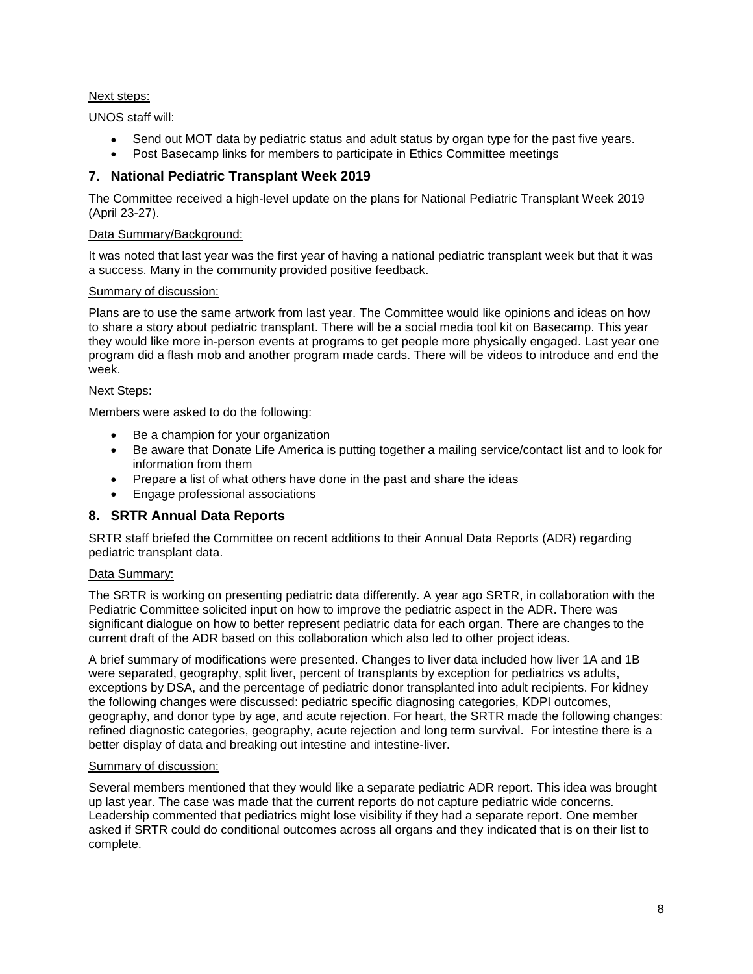## Next steps:

UNOS staff will:

- Send out MOT data by pediatric status and adult status by organ type for the past five years.
- Post Basecamp links for members to participate in Ethics Committee meetings

# **7. National Pediatric Transplant Week 2019**

The Committee received a high-level update on the plans for National Pediatric Transplant Week 2019 (April 23-27).

# Data Summary/Background:

It was noted that last year was the first year of having a national pediatric transplant week but that it was a success. Many in the community provided positive feedback.

## Summary of discussion:

Plans are to use the same artwork from last year. The Committee would like opinions and ideas on how to share a story about pediatric transplant. There will be a social media tool kit on Basecamp. This year they would like more in-person events at programs to get people more physically engaged. Last year one program did a flash mob and another program made cards. There will be videos to introduce and end the week.

# Next Steps:

Members were asked to do the following:

- Be a champion for your organization
- Be aware that Donate Life America is putting together a mailing service/contact list and to look for information from them
- Prepare a list of what others have done in the past and share the ideas
- Engage professional associations

# **8. SRTR Annual Data Reports**

SRTR staff briefed the Committee on recent additions to their Annual Data Reports (ADR) regarding pediatric transplant data.

## Data Summary:

The SRTR is working on presenting pediatric data differently. A year ago SRTR, in collaboration with the Pediatric Committee solicited input on how to improve the pediatric aspect in the ADR. There was significant dialogue on how to better represent pediatric data for each organ. There are changes to the current draft of the ADR based on this collaboration which also led to other project ideas.

A brief summary of modifications were presented. Changes to liver data included how liver 1A and 1B were separated, geography, split liver, percent of transplants by exception for pediatrics vs adults, exceptions by DSA, and the percentage of pediatric donor transplanted into adult recipients. For kidney the following changes were discussed: pediatric specific diagnosing categories, KDPI outcomes, geography, and donor type by age, and acute rejection. For heart, the SRTR made the following changes: refined diagnostic categories, geography, acute rejection and long term survival. For intestine there is a better display of data and breaking out intestine and intestine-liver.

## Summary of discussion:

Several members mentioned that they would like a separate pediatric ADR report. This idea was brought up last year. The case was made that the current reports do not capture pediatric wide concerns. Leadership commented that pediatrics might lose visibility if they had a separate report. One member asked if SRTR could do conditional outcomes across all organs and they indicated that is on their list to complete.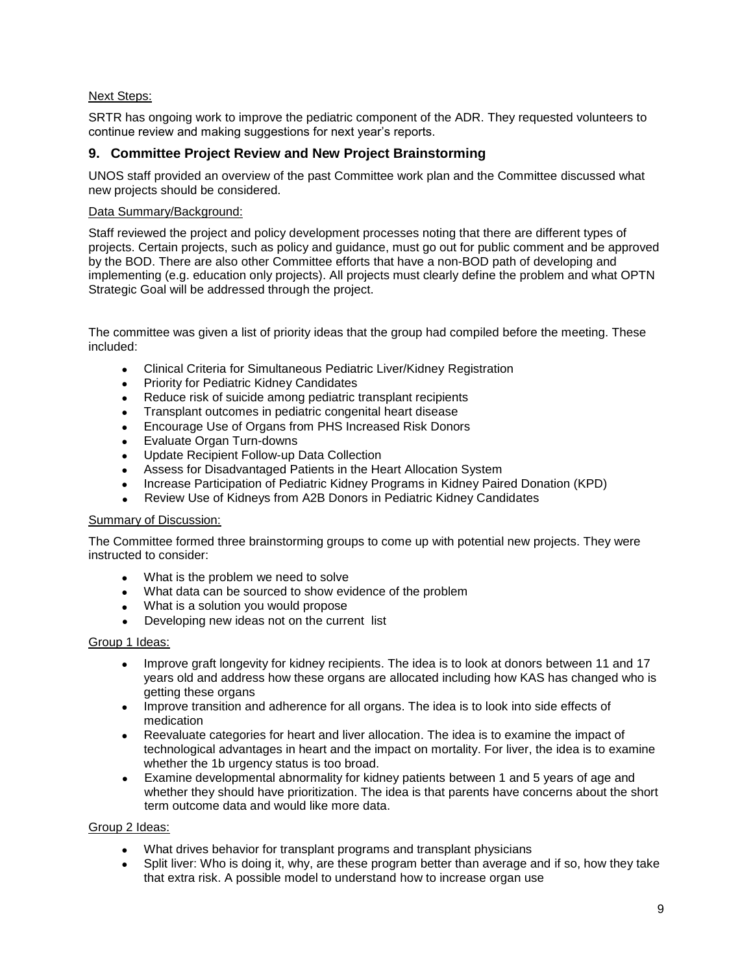## Next Steps:

SRTR has ongoing work to improve the pediatric component of the ADR. They requested volunteers to continue review and making suggestions for next year's reports.

## **9. Committee Project Review and New Project Brainstorming**

UNOS staff provided an overview of the past Committee work plan and the Committee discussed what new projects should be considered.

### Data Summary/Background:

Staff reviewed the project and policy development processes noting that there are different types of projects. Certain projects, such as policy and guidance, must go out for public comment and be approved by the BOD. There are also other Committee efforts that have a non-BOD path of developing and implementing (e.g. education only projects). All projects must clearly define the problem and what OPTN Strategic Goal will be addressed through the project.

The committee was given a list of priority ideas that the group had compiled before the meeting. These included:

- Clinical Criteria for Simultaneous Pediatric Liver/Kidney Registration
- Priority for Pediatric Kidney Candidates
- Reduce risk of suicide among pediatric transplant recipients
- Transplant outcomes in pediatric congenital heart disease
- Encourage Use of Organs from PHS Increased Risk Donors
- Evaluate Organ Turn-downs
- Update Recipient Follow-up Data Collection
- Assess for Disadvantaged Patients in the Heart Allocation System
- Increase Participation of Pediatric Kidney Programs in Kidney Paired Donation (KPD)
- Review Use of Kidneys from A2B Donors in Pediatric Kidney Candidates

#### Summary of Discussion:

The Committee formed three brainstorming groups to come up with potential new projects. They were instructed to consider:

- What is the problem we need to solve
- What data can be sourced to show evidence of the problem
- What is a solution you would propose
- Developing new ideas not on the current list

#### Group 1 Ideas:

- Improve graft longevity for kidney recipients. The idea is to look at donors between 11 and 17 years old and address how these organs are allocated including how KAS has changed who is getting these organs
- Improve transition and adherence for all organs. The idea is to look into side effects of medication
- Reevaluate categories for heart and liver allocation. The idea is to examine the impact of technological advantages in heart and the impact on mortality. For liver, the idea is to examine whether the 1b urgency status is too broad.
- Examine developmental abnormality for kidney patients between 1 and 5 years of age and whether they should have prioritization. The idea is that parents have concerns about the short term outcome data and would like more data.

#### Group 2 Ideas:

- What drives behavior for transplant programs and transplant physicians
- Split liver: Who is doing it, why, are these program better than average and if so, how they take that extra risk. A possible model to understand how to increase organ use